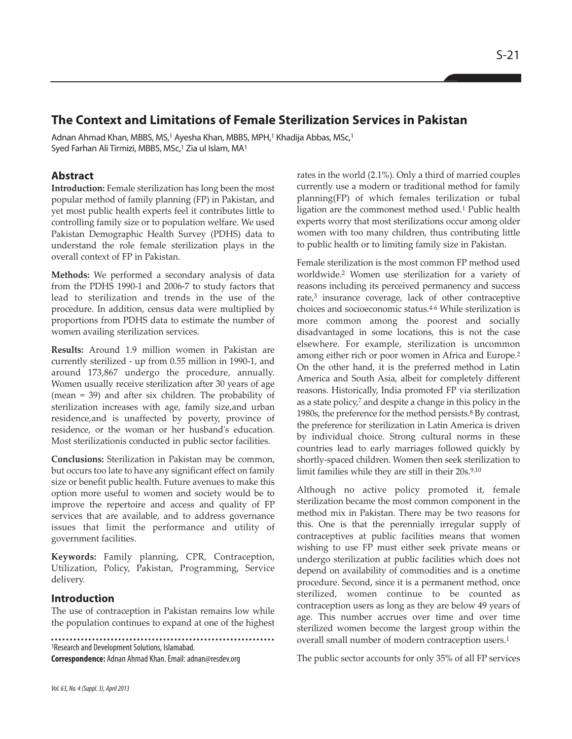# **The Context and Limitations of Female Sterilization Services in Pakistan**

Adnan Ahmad Khan, MBBS, MS,<sup>1</sup> Ayesha Khan, MBBS, MPH,<sup>1</sup> Khadija Abbas, MSc,<sup>1</sup> Syed Farhan Ali Tirmizi, MBBS, MSc,<sup>1</sup> Zia ul Islam, MA<sup>1</sup>

# **Abstract**

**Introduction:** Female sterilization has long been the most popular method of family planning (FP) in Pakistan, and yet most public health experts feel it contributes little to controlling family size or to population welfare. We used Pakistan Demographic Health Survey (PDHS) data to understand the role female sterilization plays in the overall context of FP in Pakistan.

**Methods:** We performed a secondary analysis of data from the PDHS 1990-1 and 2006-7 to study factors that lead to sterilization and trends in the use of the procedure. In addition, census data were multiplied by proportions from PDHS data to estimate the number of women availing sterilization services.

**Results:** Around 1.9 million women in Pakistan are currently sterilized - up from 0.55 million in 1990-1, and around 173,867 undergo the procedure, annually. Women usually receive sterilization after 30 years of age (mean = 39) and after six children. The probability of sterilization increases with age, family size,and urban residence,and is unaffected by poverty, province of residence, or the woman or her husband's education. Most sterilizationis conducted in public sector facilities.

**Conclusions:** Sterilization in Pakistan may be common, but occurs too late to have any significant effect on family size or benefit public health. Future avenues to make this option more useful to women and society would be to improve the repertoire and access and quality of FP services that are available, and to address governance issues that limit the performance and utility of government facilities.

**Keywords:** Family planning, CPR, Contraception, Utilization, Policy, Pakistan, Programming, Service delivery.

# **Introduction**

The use of contraception in Pakistan remains low while the population continues to expand at one of the highest

<sup>1</sup>Research and Development Solutions, Islamabad.

**Correspondence:** Adnan Ahmad Khan. Email: adnan@resdev.org

rates in the world (2.1%). Only a third of married couples currently use a modern or traditional method for family planning(FP) of which females terilization or tubal ligation are the commonest method used.<sup>1</sup> Public health experts worry that most sterilizations occur among older women with too many children, thus contributing little to public health or to limiting family size in Pakistan.

Female sterilization is the most common FP method used worldwide.<sup>2</sup> Women use sterilization for a variety of reasons including its perceived permanency and success rate,<sup>3</sup> insurance coverage, lack of other contraceptive choices and socioeconomic status.4-6 While sterilization is more common among the poorest and socially disadvantaged in some locations, this is not the case elsewhere. For example, sterilization is uncommon among either rich or poor women in Africa and Europe.<sup>2</sup> On the other hand, it is the preferred method in Latin America and South Asia, albeit for completely different reasons. Historically, India promoted FP via sterilization as a state policy,<sup>7</sup> and despite a change in this policy in the 1980s, the preference for the method persists.<sup>8</sup> By contrast, the preference for sterilization in Latin America is driven by individual choice. Strong cultural norms in these countries lead to early marriages followed quickly by shortly-spaced children. Women then seek sterilization to limit families while they are still in their 20s.9,10

Although no active policy promoted it, female sterilization became the most common component in the method mix in Pakistan. There may be two reasons for this. One is that the perennially irregular supply of contraceptives at public facilities means that women wishing to use FP must either seek private means or undergo sterilization at public facilities which does not depend on availability of commodities and is a onetime procedure. Second, since it is a permanent method, once sterilized, women continue to be counted as contraception users as long as they are below 49 years of age. This number accrues over time and over time sterilized women become the largest group within the overall small number of modern contraception users.<sup>1</sup>

The public sector accounts for only 35% of all FP services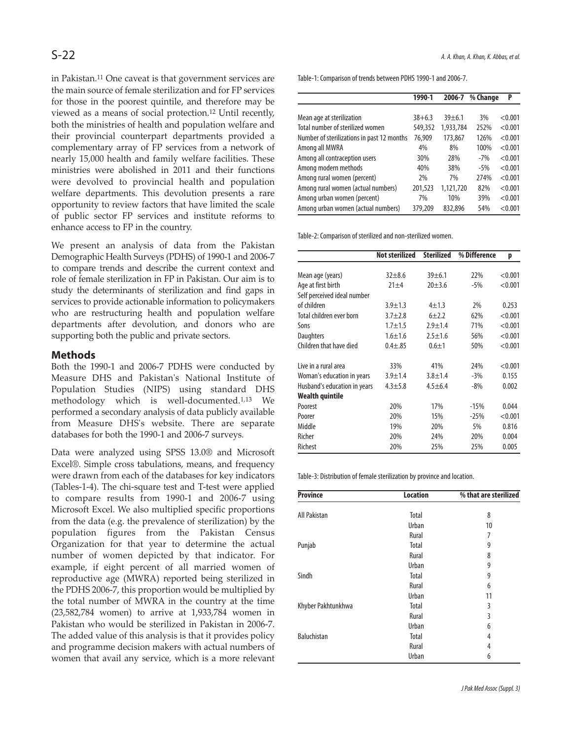in Pakistan.<sup>11</sup> One caveat is that government services are the main source of female sterilization and for FP services for those in the poorest quintile, and therefore may be viewed as a means of social protection.<sup>12</sup> Until recently, both the ministries of health and population welfare and their provincial counterpart departments provided a complementary array of FP services from a network of nearly 15,000 health and family welfare facilities. These ministries were abolished in 2011 and their functions were devolved to provincial health and population welfare departments. This devolution presents a rare opportunity to review factors that have limited the scale of public sector FP services and institute reforms to enhance access to FP in the country.

We present an analysis of data from the Pakistan Demographic Health Surveys (PDHS) of 1990-1 and 2006-7 to compare trends and describe the current context and role of female sterilization in FP in Pakistan. Our aim is to study the determinants of sterilization and find gaps in services to provide actionable information to policymakers who are restructuring health and population welfare departments after devolution, and donors who are supporting both the public and private sectors.

# **Methods**

Both the 1990-1 and 2006-7 PDHS were conducted by Measure DHS and Pakistan's National Institute of Population Studies (NIPS) using standard DHS methodology which is well-documented.1,13 We performed a secondary analysis of data publicly available from Measure DHS's website. There are separate databases for both the 1990-1 and 2006-7 surveys.

Data were analyzed using SPSS 13.0® and Microsoft Excel®. Simple cross tabulations, means, and frequency were drawn from each of the databases for key indicators (Tables-1-4). The chi-square test and T-test were applied to compare results from 1990-1 and 2006-7 using Microsoft Excel. We also multiplied specific proportions from the data (e.g. the prevalence of sterilization) by the population figures from the Pakistan Census Organization for that year to determine the actual number of women depicted by that indicator. For example, if eight percent of all married women of reproductive age (MWRA) reported being sterilized in the PDHS 2006-7, this proportion would be multiplied by the total number of MWRA in the country at the time (23,582,784 women) to arrive at 1,933,784 women in Pakistan who would be sterilized in Pakistan in 2006-7. The added value of this analysis is that it provides policy and programme decision makers with actual numbers of women that avail any service, which is a more relevant

Table-1: Comparison of trends between PDHS 1990-1 and 2006-7.

|                                            | 1990-1     | 2006-7     | % Change | P       |
|--------------------------------------------|------------|------------|----------|---------|
|                                            |            |            |          |         |
| Mean age at sterilization                  | $38 + 6.3$ | $39 + 6.1$ | 3%       | < 0.001 |
| Total number of sterilized women           | 549,352    | 1,933,784  | 252%     | < 0.001 |
| Number of sterilizations in past 12 months | 76,909     | 173,867    | 126%     | < 0.001 |
| Among all MWRA                             | 4%         | 8%         | 100%     | < 0.001 |
| Among all contraception users              | 30%        | 28%        | $-7%$    | < 0.001 |
| Among modern methods                       | 40%        | 38%        | $-5%$    | < 0.001 |
| Among rural women (percent)                | 2%         | 7%         | 274%     | < 0.001 |
| Among rural women (actual numbers)         | 201,523    | 1,121,720  | 82%      | < 0.001 |
| Among urban women (percent)                | 7%         | 10%        | 39%      | < 0.001 |
| Among urban women (actual numbers)         | 379,209    | 832.896    | 54%      | < 0.001 |

Table-2: Comparison of sterilized and non-sterilized women.

|                              | <b>Not sterilized</b> | <b>Sterilized</b> | % Difference | p       |
|------------------------------|-----------------------|-------------------|--------------|---------|
|                              |                       |                   |              |         |
| Mean age (years)             | $32 + 8.6$            | 39±6.1            | 22%          | < 0.001 |
| Age at first birth           | $21 + 4$              | $20 + 3.6$        | $-5%$        | < 0.001 |
| Self perceived ideal number  |                       |                   |              |         |
| of children                  | $3.9 \pm 1.3$         | $4 + 1.3$         | 2%           | 0.253   |
| Total children ever born     | $3.7 + 2.8$           | $6+2.2$           | 62%          | < 0.001 |
| Sons                         | $1.7 + 1.5$           | $2.9 + 1.4$       | 71%          | < 0.001 |
| <b>Daughters</b>             | $1.6 + 1.6$           | $2.5 \pm 1.6$     | 56%          | < 0.001 |
| Children that have died      | $0.4 + .85$           | $0.6 + 1$         | 50%          | < 0.001 |
| Live in a rural area         | 33%                   | 41%               | 24%          | < 0.001 |
| Woman's education in years   | $3.9 + 1.4$           | $3.8 + 1.4$       | $-3%$        | 0.155   |
| Husband's education in years | $4.3 + 5.8$           | $4.5 + 6.4$       | $-8%$        | 0.002   |
| Wealth quintile              |                       |                   |              |         |
| Poorest                      | 20%                   | 17%               | $-15%$       | 0.044   |
| Poorer                       | 20%                   | 15%               | $-25%$       | < 0.001 |
| Middle                       | 19%                   | 20%               | 5%           | 0.816   |
| Richer                       | 20%                   | 24%               | 20%          | 0.004   |
| Richest                      | 20%                   | 25%               | 25%          | 0.005   |

Table-3: Distribution of female sterilization by province and location.

| <b>Province</b>    | <b>Location</b> | % that are sterilized |
|--------------------|-----------------|-----------------------|
|                    |                 |                       |
| All Pakistan       | Total           | 8                     |
|                    | Urban           | 10                    |
|                    | Rural           | 7                     |
| Punjab             | Total           | 9                     |
|                    | Rural           | 8                     |
|                    | Urban           | 9                     |
| Sindh              | Total           | 9                     |
|                    | Rural           | 6                     |
|                    | Urban           | 11                    |
| Khyber Pakhtunkhwa | Total           | 3                     |
|                    | Rural           | 3                     |
|                    | Urban           | 6                     |
| <b>Baluchistan</b> | Total           | 4                     |
|                    | Rural           | 4                     |
|                    | Urban           | 6                     |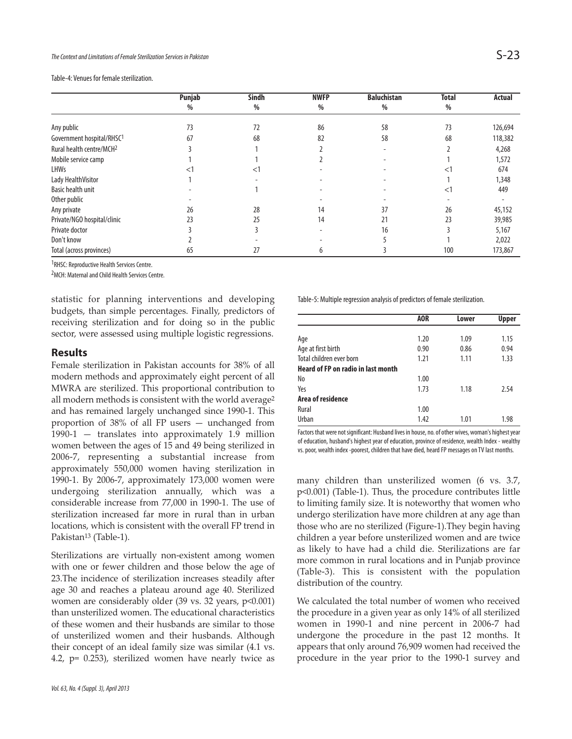Table-4: Venues for female sterilization.

|                                       | Punjab | <b>Sindh</b> | <b>NWFP</b> | <b>Baluchistan</b> | <b>Total</b> | <b>Actual</b> |
|---------------------------------------|--------|--------------|-------------|--------------------|--------------|---------------|
|                                       | %      | $\%$         | %           | $\frac{0}{0}$      | %            |               |
|                                       |        |              |             |                    |              |               |
| Any public                            | 73     | 72           | 86          | 58                 | 73           | 126,694       |
| Government hospital/RHSC <sup>1</sup> | 67     | 68           | 82          | 58                 | 68           | 118,382       |
| Rural health centre/MCH <sup>2</sup>  |        |              |             |                    |              | 4,268         |
| Mobile service camp                   |        |              |             |                    |              | 1,572         |
| <b>LHWs</b>                           |        | $<$ 1        |             |                    | $\leq$ 1     | 674           |
| Lady HealthVisitor                    |        |              |             |                    |              | 1,348         |
| <b>Basic health unit</b>              |        |              |             |                    | <1           | 449           |
| Other public                          |        |              |             |                    |              |               |
| Any private                           | 26     | 28           | 14          | 37                 | 26           | 45,152        |
| Private/NGO hospital/clinic           | 23     | 25           | 14          | 21                 | 23           | 39,985        |
| Private doctor                        |        |              |             | 16                 |              | 5,167         |
| Don't know                            |        |              |             |                    |              | 2,022         |
| Total (across provinces)              | 65     | 27           | 6           |                    | 100          | 173,867       |

<sup>1</sup>RHSC: Reproductive Health Services Centre.

2MCH: Maternal and Child Health Services Centre.

statistic for planning interventions and developing budgets, than simple percentages. Finally, predictors of receiving sterilization and for doing so in the public sector, were assessed using multiple logistic regressions.

#### **Results**

Female sterilization in Pakistan accounts for 38% of all modern methods and approximately eight percent of all MWRA are sterilized. This proportional contribution to all modern methods is consistent with the world average<sup>2</sup> and has remained largely unchanged since 1990-1. This proportion of 38% of all FP users — unchanged from 1990-1 — translates into approximately 1.9 million women between the ages of 15 and 49 being sterilized in 2006-7, representing a substantial increase from approximately 550,000 women having sterilization in 1990-1. By 2006-7, approximately 173,000 women were undergoing sterilization annually, which was a considerable increase from 77,000 in 1990-1. The use of sterilization increased far more in rural than in urban locations, which is consistent with the overall FP trend in Pakistan<sup>13</sup> (Table-1).

Sterilizations are virtually non-existent among women with one or fewer children and those below the age of 23.The incidence of sterilization increases steadily after age 30 and reaches a plateau around age 40. Sterilized women are considerably older (39 vs. 32 years, p<0.001) than unsterilized women. The educational characteristics of these women and their husbands are similar to those of unsterilized women and their husbands. Although their concept of an ideal family size was similar (4.1 vs. 4.2, p= 0.253), sterilized women have nearly twice as Table-5: Multiple regression analysis of predictors of female sterilization.

|                                           | AOR  | Lower | <b>Upper</b> |
|-------------------------------------------|------|-------|--------------|
|                                           |      |       |              |
| Age                                       | 1.20 | 1.09  | 1.15         |
| Age at first birth                        | 0.90 | 0.86  | 0.94         |
| Total children ever born                  | 1.21 | 1.11  | 1.33         |
| <b>Heard of FP on radio in last month</b> |      |       |              |
| No                                        | 1.00 |       |              |
| Yes                                       | 1.73 | 1.18  | 2.54         |
| Area of residence                         |      |       |              |
| Rural                                     | 1.00 |       |              |
| Urban                                     | 1.42 | 1.01  | 1.98         |

Factors that were not significant: Husband lives in house, no. of other wives, woman's highest year of education, husband's highest year of education, province of residence, wealth Index - wealthy vs. poor, wealth index -poorest, children that have died, heard FP messages on TV last months.

many children than unsterilized women (6 vs. 3.7, p<0.001) (Table-1). Thus, the procedure contributes little to limiting family size. It is noteworthy that women who undergo sterilization have more children at any age than those who are no sterilized (Figure-1).They begin having children a year before unsterilized women and are twice as likely to have had a child die. Sterilizations are far more common in rural locations and in Punjab province (Table-3). This is consistent with the population distribution of the country.

We calculated the total number of women who received the procedure in a given year as only 14% of all sterilized women in 1990-1 and nine percent in 2006-7 had undergone the procedure in the past 12 months. It appears that only around 76,909 women had received the procedure in the year prior to the 1990-1 survey and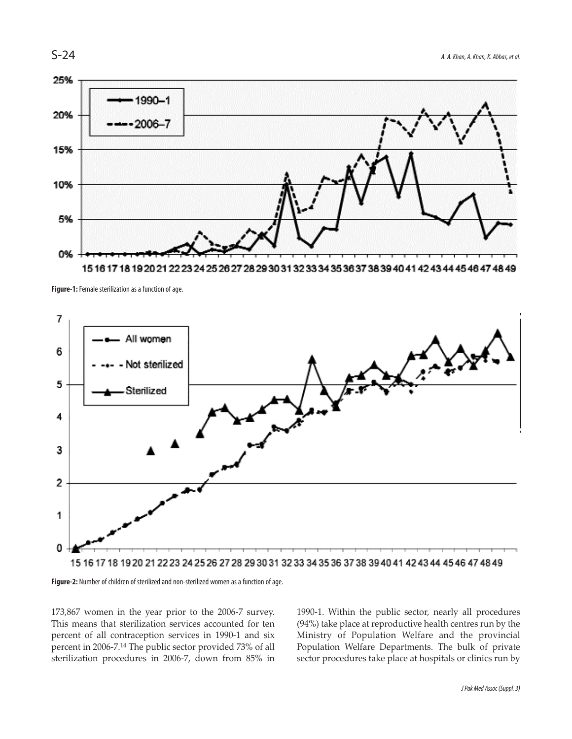

151617 18 19 20 21 22 23 24 25 26 27 28 29 30 31 32 33 34 35 36 37 38 39 40 41 42 43 44 45 46 47 48 49





**Figure-2:** Number of children of sterilized and non-sterilized women as a function of age.

173,867 women in the year prior to the 2006-7 survey. This means that sterilization services accounted for ten percent of all contraception services in 1990-1 and six percent in 2006-7.<sup>14</sup> The public sector provided 73% of all sterilization procedures in 2006-7, down from 85% in 1990-1. Within the public sector, nearly all procedures (94%) take place at reproductive health centres run by the Ministry of Population Welfare and the provincial Population Welfare Departments. The bulk of private sector procedures take place at hospitals or clinics run by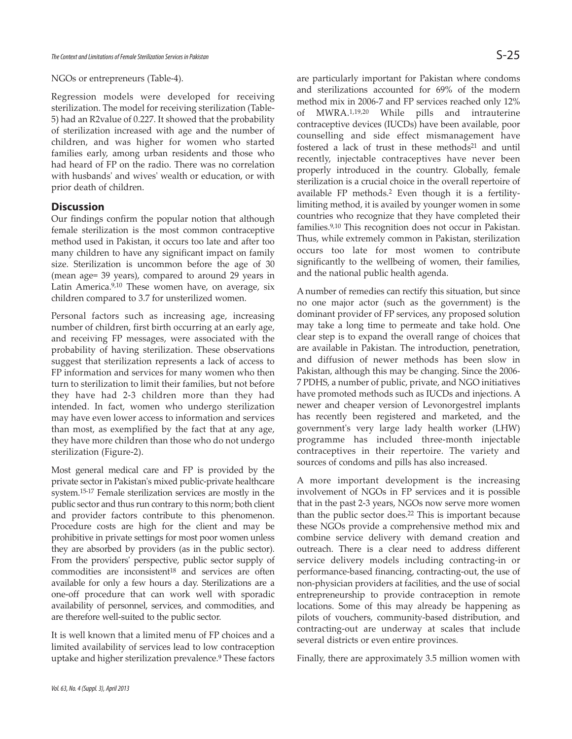#### NGOs or entrepreneurs (Table-4).

Regression models were developed for receiving sterilization. The model for receiving sterilization (Table-5) had an R2value of 0.227. It showed that the probability of sterilization increased with age and the number of children, and was higher for women who started families early, among urban residents and those who had heard of FP on the radio. There was no correlation with husbands' and wives' wealth or education, or with prior death of children.

### **Discussion**

Our findings confirm the popular notion that although female sterilization is the most common contraceptive method used in Pakistan, it occurs too late and after too many children to have any significant impact on family size. Sterilization is uncommon before the age of 30 (mean age= 39 years), compared to around 29 years in Latin America.9,10 These women have, on average, six children compared to 3.7 for unsterilized women.

Personal factors such as increasing age, increasing number of children, first birth occurring at an early age, and receiving FP messages, were associated with the probability of having sterilization. These observations suggest that sterilization represents a lack of access to FP information and services for many women who then turn to sterilization to limit their families, but not before they have had 2-3 children more than they had intended. In fact, women who undergo sterilization may have even lower access to information and services than most, as exemplified by the fact that at any age, they have more children than those who do not undergo sterilization (Figure-2).

Most general medical care and FP is provided by the private sector in Pakistan's mixed public-private healthcare system.15-17 Female sterilization services are mostly in the public sector and thus run contrary to this norm; both client and provider factors contribute to this phenomenon. Procedure costs are high for the client and may be prohibitive in private settings for most poor women unless they are absorbed by providers (as in the public sector). From the providers' perspective, public sector supply of commodities are inconsistent<sup>18</sup> and services are often available for only a few hours a day. Sterilizations are a one-off procedure that can work well with sporadic availability of personnel, services, and commodities, and are therefore well-suited to the public sector.

It is well known that a limited menu of FP choices and a limited availability of services lead to low contraception uptake and higher sterilization prevalence.<sup>9</sup> These factors are particularly important for Pakistan where condoms and sterilizations accounted for 69% of the modern method mix in 2006-7 and FP services reached only 12% of MWRA.1,19,20 While pills and intrauterine contraceptive devices (IUCDs) have been available, poor counselling and side effect mismanagement have fostered a lack of trust in these methods<sup>21</sup> and until recently, injectable contraceptives have never been properly introduced in the country. Globally, female sterilization is a crucial choice in the overall repertoire of available FP methods.<sup>2</sup> Even though it is a fertilitylimiting method, it is availed by younger women in some countries who recognize that they have completed their families.9,10 This recognition does not occur in Pakistan. Thus, while extremely common in Pakistan, sterilization occurs too late for most women to contribute significantly to the wellbeing of women, their families, and the national public health agenda.

A number of remedies can rectify this situation, but since no one major actor (such as the government) is the dominant provider of FP services, any proposed solution may take a long time to permeate and take hold. One clear step is to expand the overall range of choices that are available in Pakistan. The introduction, penetration, and diffusion of newer methods has been slow in Pakistan, although this may be changing. Since the 2006- 7 PDHS, a number of public, private, and NGO initiatives have promoted methods such as IUCDs and injections. A newer and cheaper version of Levonorgestrel implants has recently been registered and marketed, and the government's very large lady health worker (LHW) programme has included three-month injectable contraceptives in their repertoire. The variety and sources of condoms and pills has also increased.

A more important development is the increasing involvement of NGOs in FP services and it is possible that in the past 2-3 years, NGOs now serve more women than the public sector does.<sup>22</sup> This is important because these NGOs provide a comprehensive method mix and combine service delivery with demand creation and outreach. There is a clear need to address different service delivery models including contracting-in or performance-based financing, contracting-out, the use of non-physician providers at facilities, and the use of social entrepreneurship to provide contraception in remote locations. Some of this may already be happening as pilots of vouchers, community-based distribution, and contracting-out are underway at scales that include several districts or even entire provinces.

Finally, there are approximately 3.5 million women with